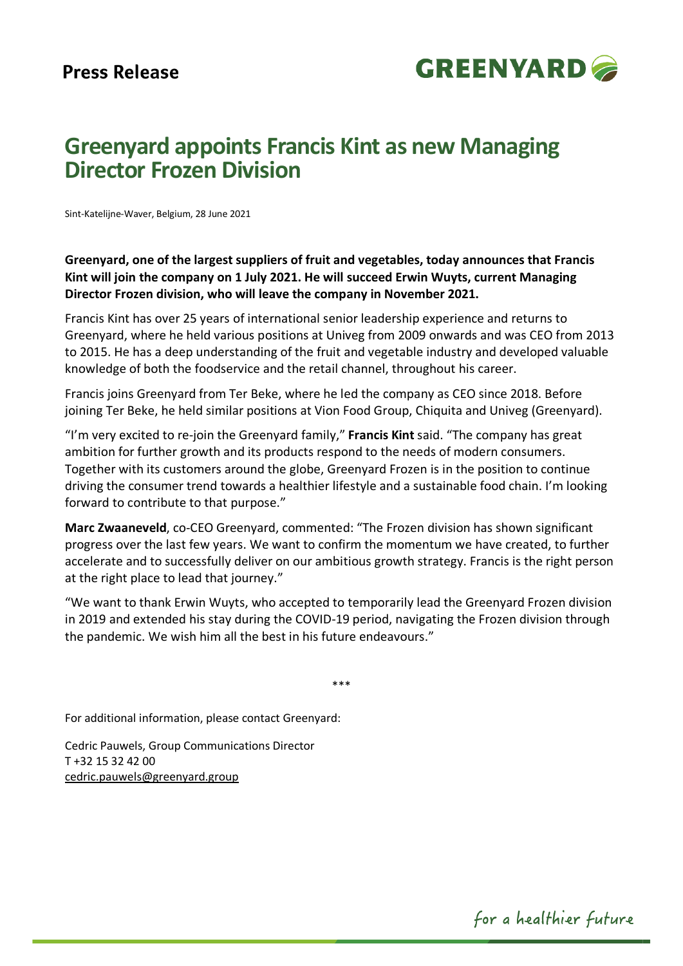

## **Greenyard appoints Francis Kint as new Managing Director Frozen Division**

Sint-Katelijne-Waver, Belgium, 28 June 2021

**Greenyard, one of the largest suppliers of fruit and vegetables, today announces that Francis Kint will join the company on 1 July 2021. He will succeed Erwin Wuyts, current Managing Director Frozen division, who will leave the company in November 2021.** 

Francis Kint has over 25 years of international senior leadership experience and returns to Greenyard, where he held various positions at Univeg from 2009 onwards and was CEO from 2013 to 2015. He has a deep understanding of the fruit and vegetable industry and developed valuable knowledge of both the foodservice and the retail channel, throughout his career.

Francis joins Greenyard from Ter Beke, where he led the company as CEO since 2018. Before joining Ter Beke, he held similar positions at Vion Food Group, Chiquita and Univeg (Greenyard).

"I'm very excited to re-join the Greenyard family," **Francis Kint** said. "The company has great ambition for further growth and its products respond to the needs of modern consumers. Together with its customers around the globe, Greenyard Frozen is in the position to continue driving the consumer trend towards a healthier lifestyle and a sustainable food chain. I'm looking forward to contribute to that purpose."

**Marc Zwaaneveld**, co-CEO Greenyard, commented: "The Frozen division has shown significant progress over the last few years. We want to confirm the momentum we have created, to further accelerate and to successfully deliver on our ambitious growth strategy. Francis is the right person at the right place to lead that journey."

"We want to thank Erwin Wuyts, who accepted to temporarily lead the Greenyard Frozen division in 2019 and extended his stay during the COVID-19 period, navigating the Frozen division through the pandemic. We wish him all the best in his future endeavours."

\*\*\*

For additional information, please contact Greenyard:

Cedric Pauwels, Group Communications Director T +32 15 32 42 00 [cedric.pauwels@greenyard.group](mailto:cedric.pauwels@greenyard.group)

for a healthier future